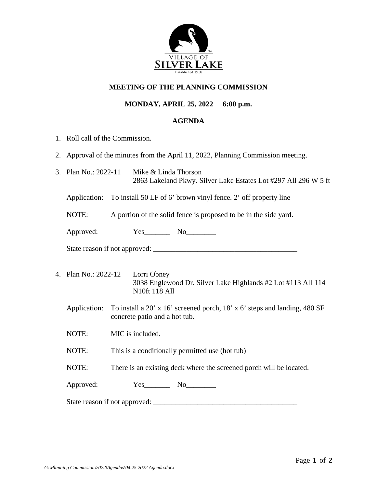

## **MEETING OF THE PLANNING COMMISSION**

## **MONDAY, APRIL 25, 2022 6:00 p.m.**

## **AGENDA**

- 1. Roll call of the Commission.
- 2. Approval of the minutes from the April 11, 2022, Planning Commission meeting.
- 3. Plan No.: 2022-11 Mike & Linda Thorson 2863 Lakeland Pkwy. Silver Lake Estates Lot #297 All 296 W 5 ft

Application: To install 50 LF of 6' brown vinyl fence. 2' off property line

NOTE: A portion of the solid fence is proposed to be in the side yard.

| Approved: | $\alpha$ |  |
|-----------|----------|--|
|           |          |  |

State reason if not approved: \_\_\_\_\_\_\_\_\_\_\_\_\_\_\_\_\_\_\_\_\_\_\_\_\_\_\_\_\_\_\_\_\_\_\_\_\_\_\_

- 4. Plan No.: 2022-12 Lorri Obney 3038 Englewood Dr. Silver Lake Highlands #2 Lot #113 All 114 N10ft 118 All
	- Application: To install a 20' x 16' screened porch, 18' x 6' steps and landing, 480 SF concrete patio and a hot tub.

NOTE: MIC is included.

NOTE: This is a conditionally permitted use (hot tub)

NOTE: There is an existing deck where the screened porch will be located.

Approved:  $Yes$  No

State reason if not approved: \_\_\_\_\_\_\_\_\_\_\_\_\_\_\_\_\_\_\_\_\_\_\_\_\_\_\_\_\_\_\_\_\_\_\_\_\_\_\_